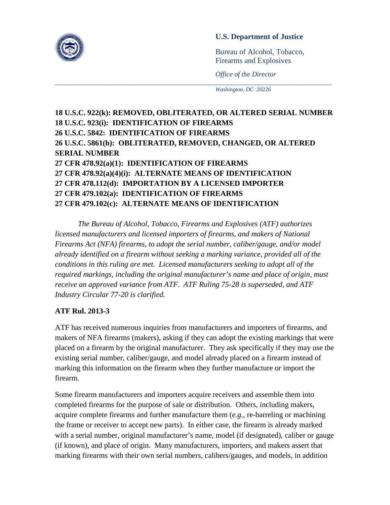

Bureau of Alcohol, Tobacco, Firearms and Explosives

*Office of the Director*

*Washington, DC 20226*

## **18 U.S.C. 922(k): REMOVED, OBLITERATED, OR ALTERED SERIAL NUMBER 18 U.S.C. 923(i): IDENTIFICATION OF FIREARMS 26 U.S.C. 5842: IDENTIFICATION OF FIREARMS 26 U.S.C. 5861(h): OBLITERATED, REMOVED, CHANGED, OR ALTERED SERIAL NUMBER 27 CFR 478.92(a)(1): IDENTIFICATION OF FIREARMS 27 CFR 478.92(a)(4)(i): ALTERNATE MEANS OF IDENTIFICATION 27 CFR 478.112(d): IMPORTATION BY A LICENSED IMPORTER 27 CFR 479.102(a): IDENTIFICATION OF FIREARMS 27 CFR 479.102(c): ALTERNATE MEANS OF IDENTIFICATION**

\_\_\_\_\_\_\_\_\_\_\_\_\_\_\_\_\_\_\_\_\_\_\_\_\_\_\_\_\_\_\_\_\_\_\_\_\_\_\_\_\_\_\_\_\_\_\_\_\_\_\_\_\_\_\_\_\_\_\_\_\_\_\_\_\_\_\_\_\_\_\_\_\_\_\_\_\_\_\_

*The Bureau of Alcohol, Tobacco, Firearms and Explosives (ATF) authorizes licensed manufacturers and licensed importers of firearms, and makers of National Firearms Act (NFA) firearms, to adopt the serial number, caliber/gauge, and/or model already identified on a firearm without seeking a marking variance, provided all of the conditions in this ruling are met. Licensed manufacturers seeking to adopt all of the required markings, including the original manufacturer's name and place of origin, must receive an approved variance from ATF. ATF Ruling 75-28 is superseded, and ATF Industry Circular 77-20 is clarified.*

## **ATF Rul. 2013-3**

ATF has received numerous inquiries from manufacturers and importers of firearms, and makers of NFA firearms (makers), asking if they can adopt the existing markings that were placed on a firearm by the original manufacturer. They ask specifically if they may use the existing serial number, caliber/gauge, and model already placed on a firearm instead of marking this information on the firearm when they further manufacture or import the firearm.

Some firearm manufacturers and importers acquire receivers and assemble them into completed firearms for the purpose of sale or distribution. Others, including makers, acquire complete firearms and further manufacture them (*e.g.*, re-barreling or machining the frame or receiver to accept new parts). In either case, the firearm is already marked with a serial number, original manufacturer's name, model (if designated), caliber or gauge (if known), and place of origin. Many manufacturers, importers, and makers assert that marking firearms with their own serial numbers, calibers/gauges, and models, in addition

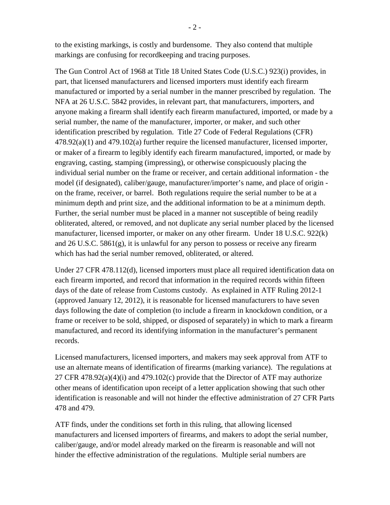to the existing markings, is costly and burdensome. They also contend that multiple markings are confusing for recordkeeping and tracing purposes.

The Gun Control Act of 1968 at Title 18 United States Code (U.S.C.) 923(i) provides, in part, that licensed manufacturers and licensed importers must identify each firearm manufactured or imported by a serial number in the manner prescribed by regulation. The NFA at 26 U.S.C. 5842 provides, in relevant part, that manufacturers, importers, and anyone making a firearm shall identify each firearm manufactured, imported, or made by a serial number, the name of the manufacturer, importer, or maker, and such other identification prescribed by regulation. Title 27 Code of Federal Regulations (CFR) 478.92(a)(1) and 479.102(a) further require the licensed manufacturer, licensed importer, or maker of a firearm to legibly identify each firearm manufactured, imported, or made by engraving, casting, stamping (impressing), or otherwise conspicuously placing the individual serial number on the frame or receiver, and certain additional information - the model (if designated), caliber/gauge, manufacturer/importer's name, and place of origin on the frame, receiver, or barrel. Both regulations require the serial number to be at a minimum depth and print size, and the additional information to be at a minimum depth. Further, the serial number must be placed in a manner not susceptible of being readily obliterated, altered, or removed, and not duplicate any serial number placed by the licensed manufacturer, licensed importer, or maker on any other firearm. Under 18 U.S.C. 922(k) and  $26$  U.S.C.  $5861(g)$ , it is unlawful for any person to possess or receive any firearm which has had the serial number removed, obliterated, or altered.

Under 27 CFR 478.112(d), licensed importers must place all required identification data on each firearm imported, and record that information in the required records within fifteen days of the date of release from Customs custody. As explained in ATF Ruling 2012-1 (approved January 12, 2012), it is reasonable for licensed manufacturers to have seven days following the date of completion (to include a firearm in knockdown condition, or a frame or receiver to be sold, shipped, or disposed of separately) in which to mark a firearm manufactured, and record its identifying information in the manufacturer's permanent records.

Licensed manufacturers, licensed importers, and makers may seek approval from ATF to use an alternate means of identification of firearms (marking variance). The regulations at 27 CFR  $478.92(a)(4)(i)$  and  $479.102(c)$  provide that the Director of ATF may authorize other means of identification upon receipt of a letter application showing that such other identification is reasonable and will not hinder the effective administration of 27 CFR Parts 478 and 479.

ATF finds, under the conditions set forth in this ruling, that allowing licensed manufacturers and licensed importers of firearms, and makers to adopt the serial number, caliber/gauge, and/or model already marked on the firearm is reasonable and will not hinder the effective administration of the regulations. Multiple serial numbers are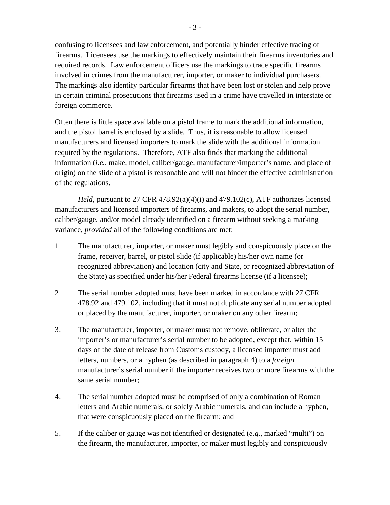confusing to licensees and law enforcement, and potentially hinder effective tracing of firearms. Licensees use the markings to effectively maintain their firearms inventories and required records. Law enforcement officers use the markings to trace specific firearms involved in crimes from the manufacturer, importer, or maker to individual purchasers. The markings also identify particular firearms that have been lost or stolen and help prove in certain criminal prosecutions that firearms used in a crime have travelled in interstate or foreign commerce.

Often there is little space available on a pistol frame to mark the additional information, and the pistol barrel is enclosed by a slide. Thus, it is reasonable to allow licensed manufacturers and licensed importers to mark the slide with the additional information required by the regulations. Therefore, ATF also finds that marking the additional information (*i.e.*, make, model, caliber/gauge, manufacturer/importer's name, and place of origin) on the slide of a pistol is reasonable and will not hinder the effective administration of the regulations.

*Held,* pursuant to 27 CFR 478.92(a)(4)(i) and 479.102(c), ATF authorizes licensed manufacturers and licensed importers of firearms, and makers, to adopt the serial number, caliber/gauge, and/or model already identified on a firearm without seeking a marking variance, *provided* all of the following conditions are met:

- 1. The manufacturer, importer, or maker must legibly and conspicuously place on the frame, receiver, barrel, or pistol slide (if applicable) his/her own name (or recognized abbreviation) and location (city and State, or recognized abbreviation of the State) as specified under his/her Federal firearms license (if a licensee);
- 2. The serial number adopted must have been marked in accordance with 27 CFR 478.92 and 479.102, including that it must not duplicate any serial number adopted or placed by the manufacturer, importer, or maker on any other firearm;
- 3. The manufacturer, importer, or maker must not remove, obliterate, or alter the importer's or manufacturer's serial number to be adopted, except that, within 15 days of the date of release from Customs custody, a licensed importer must add letters, numbers, or a hyphen (as described in paragraph 4) to a *foreign* manufacturer's serial number if the importer receives two or more firearms with the same serial number;
- 4. The serial number adopted must be comprised of only a combination of Roman letters and Arabic numerals, or solely Arabic numerals, and can include a hyphen, that were conspicuously placed on the firearm; and
- 5. If the caliber or gauge was not identified or designated (*e.g.*, marked "multi") on the firearm, the manufacturer, importer, or maker must legibly and conspicuously